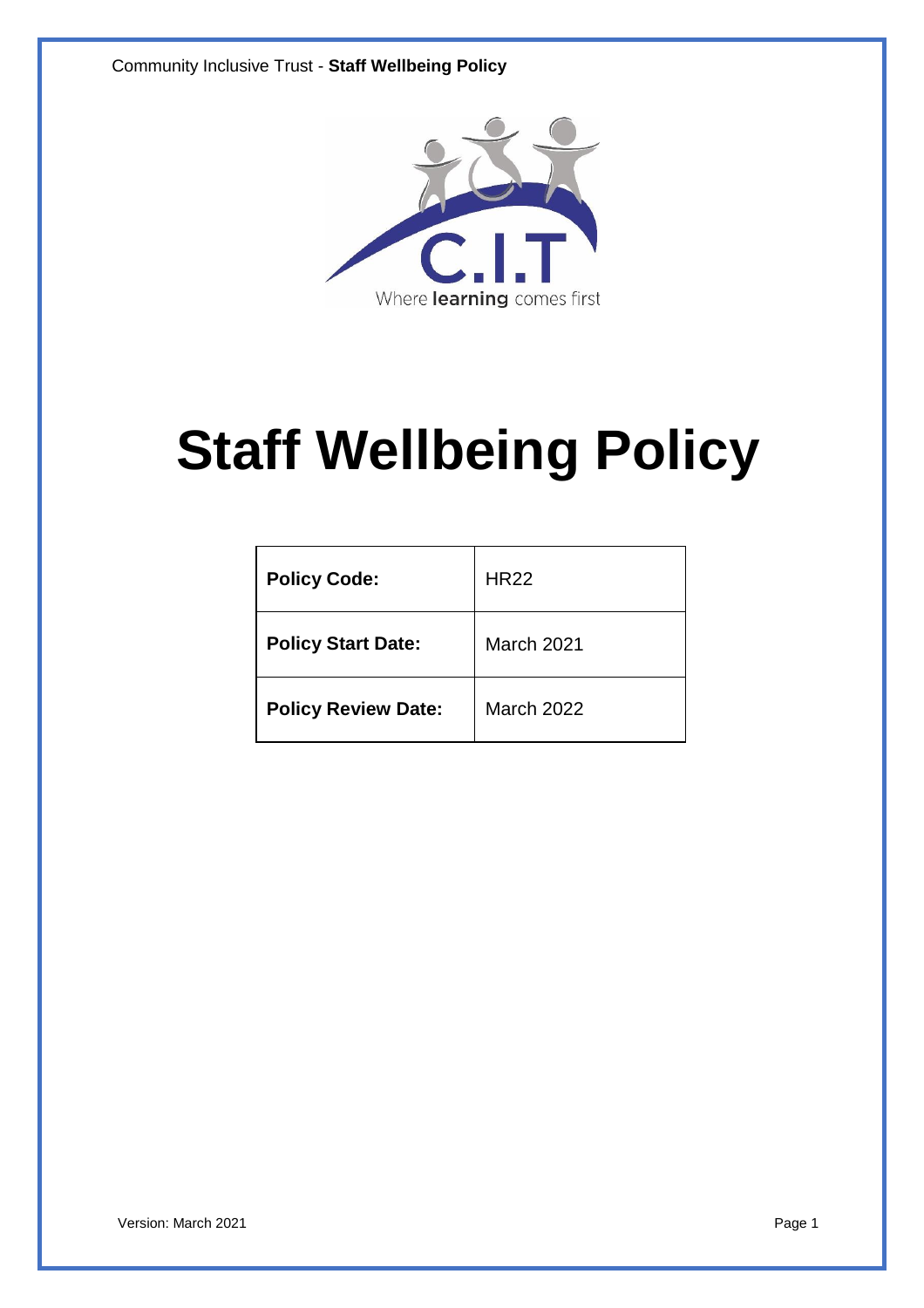

# **Staff Wellbeing Policy**

| <b>Policy Code:</b>        | <b>HR22</b> |
|----------------------------|-------------|
| <b>Policy Start Date:</b>  | March 2021  |
| <b>Policy Review Date:</b> | March 2022  |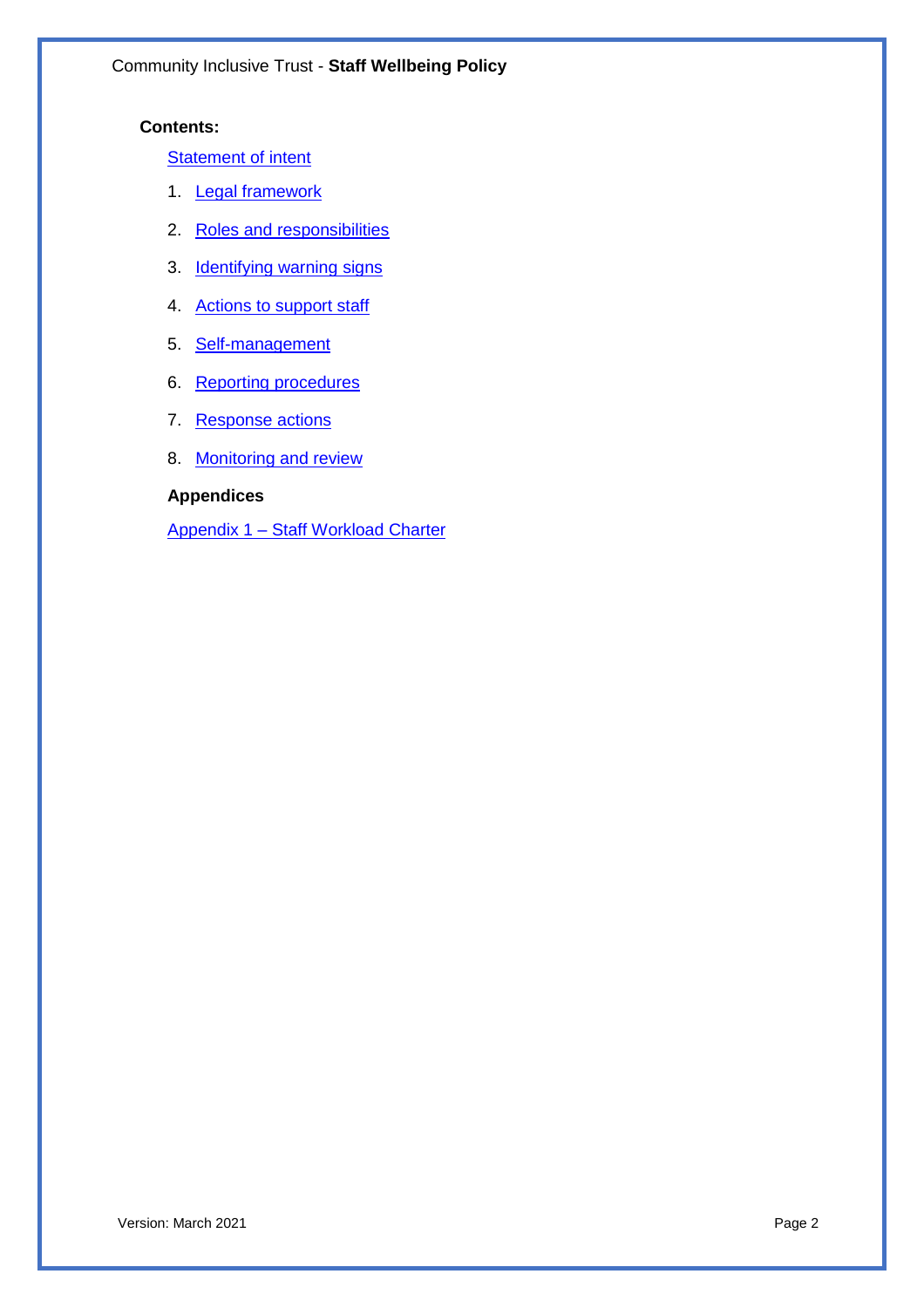#### **Contents:**

**Statement of intent** 

- 1. Legal framework
- 2. Roles and responsibilities
- 3. **Identifying warning signs**
- 4. Actions to support staff
- 5. Self-management
- 6. Reporting procedures
- 7. Response actions
- 8. Monitoring and review

#### **Appendices**

Appendix 1 – Staff Workload Charter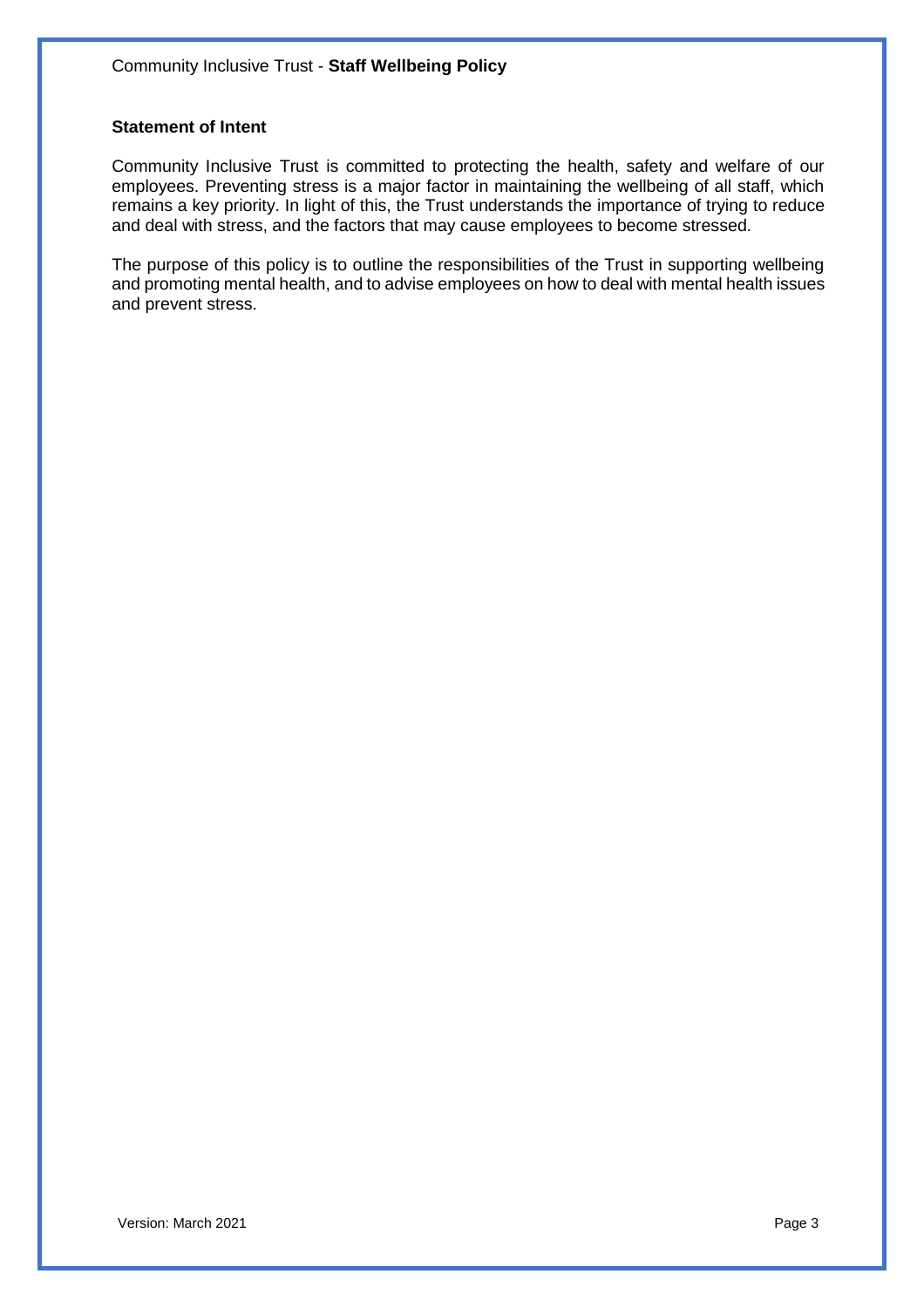#### **Statement of Intent**

Community Inclusive Trust is committed to protecting the health, safety and welfare of our employees. Preventing stress is a major factor in maintaining the wellbeing of all staff, which remains a key priority. In light of this, the Trust understands the importance of trying to reduce and deal with stress, and the factors that may cause employees to become stressed.

The purpose of this policy is to outline the responsibilities of the Trust in supporting wellbeing and promoting mental health, and to advise employees on how to deal with mental health issues and prevent stress.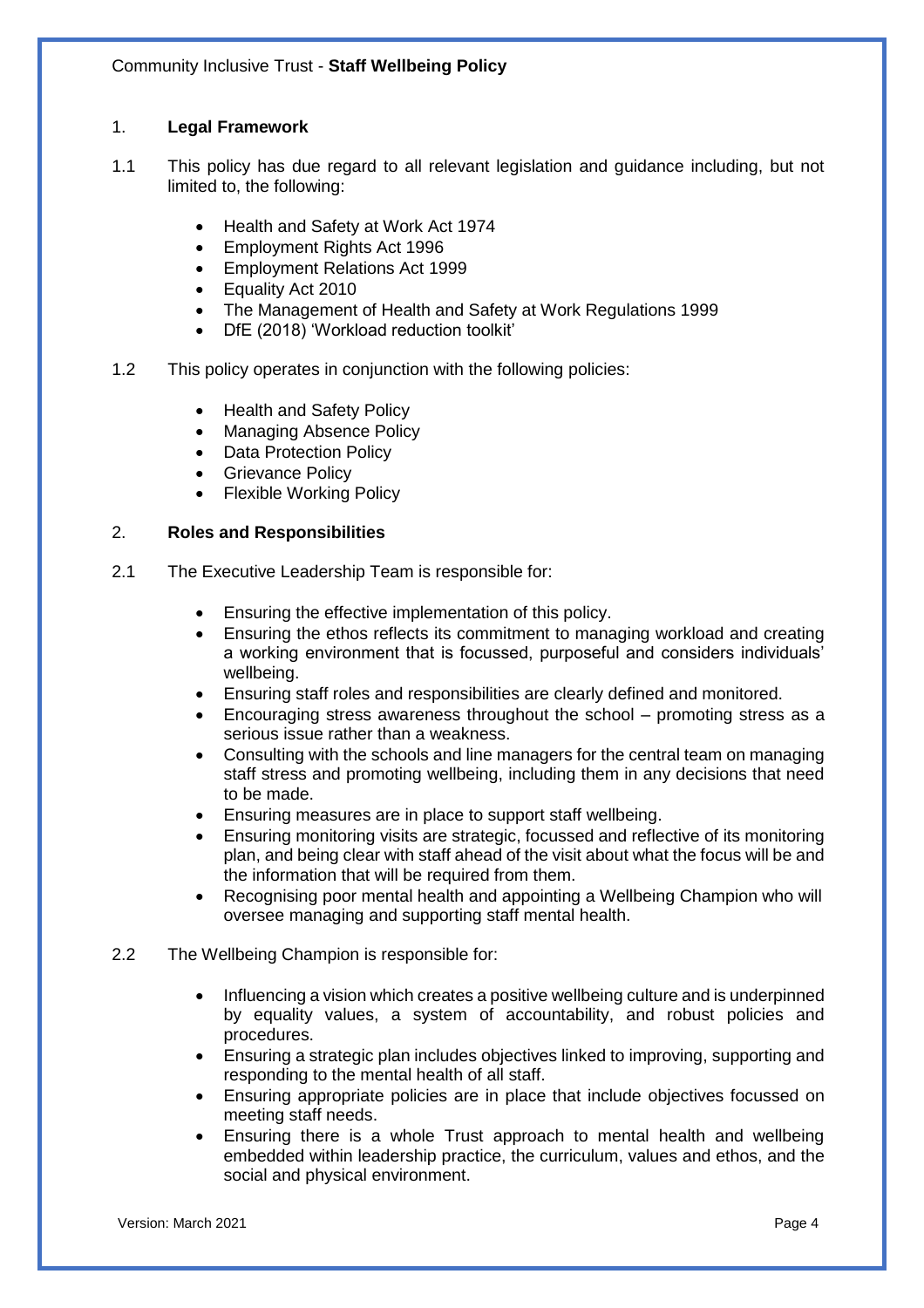#### 1. **Legal Framework**

- 1.1 This policy has due regard to all relevant legislation and guidance including, but not limited to, the following:
	- Health and Safety at Work Act 1974
	- Employment Rights Act 1996
	- Employment Relations Act 1999
	- Equality Act 2010
	- The Management of Health and Safety at Work Regulations 1999
	- DfE (2018) 'Workload reduction toolkit'
- 1.2 This policy operates in conjunction with the following policies:
	- Health and Safety Policy
	- Managing Absence Policy
	- Data Protection Policy
	- Grievance Policy
	- Flexible Working Policy

#### 2. **Roles and Responsibilities**

- 2.1 The Executive Leadership Team is responsible for:
	- Ensuring the effective implementation of this policy.
	- Ensuring the ethos reflects its commitment to managing workload and creating a working environment that is focussed, purposeful and considers individuals' wellbeing.
	- Ensuring staff roles and responsibilities are clearly defined and monitored.
	- Encouraging stress awareness throughout the school promoting stress as a serious issue rather than a weakness.
	- Consulting with the schools and line managers for the central team on managing staff stress and promoting wellbeing, including them in any decisions that need to be made.
	- Ensuring measures are in place to support staff wellbeing.
	- Ensuring monitoring visits are strategic, focussed and reflective of its monitoring plan, and being clear with staff ahead of the visit about what the focus will be and the information that will be required from them.
	- Recognising poor mental health and appointing a Wellbeing Champion who will oversee managing and supporting staff mental health.
- 2.2 The Wellbeing Champion is responsible for:
	- Influencing a vision which creates a positive wellbeing culture and is underpinned by equality values, a system of accountability, and robust policies and procedures.
	- Ensuring a strategic plan includes objectives linked to improving, supporting and responding to the mental health of all staff.
	- Ensuring appropriate policies are in place that include objectives focussed on meeting staff needs.
	- Ensuring there is a whole Trust approach to mental health and wellbeing embedded within leadership practice, the curriculum, values and ethos, and the social and physical environment.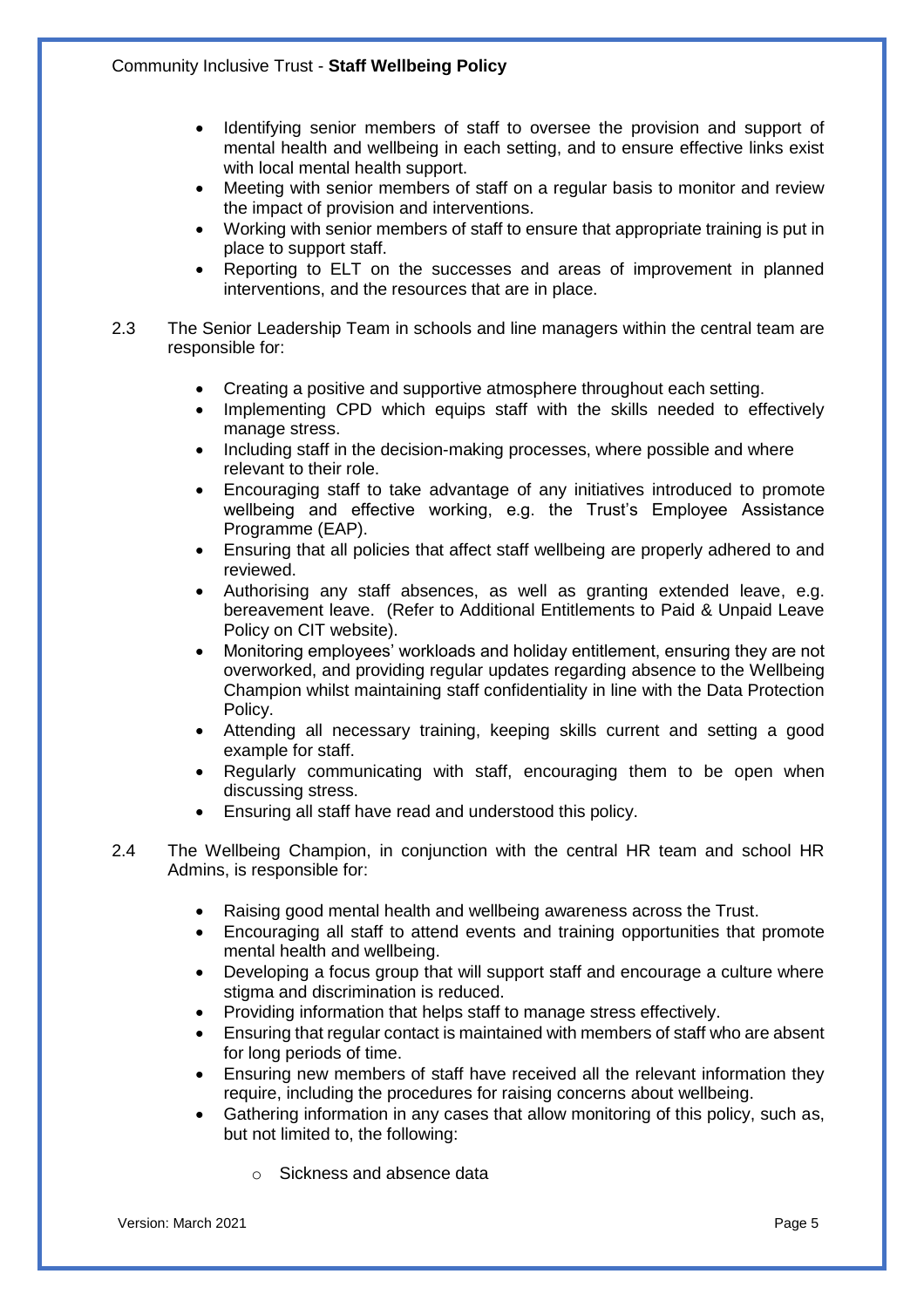- Identifying senior members of staff to oversee the provision and support of mental health and wellbeing in each setting, and to ensure effective links exist with local mental health support.
- Meeting with senior members of staff on a regular basis to monitor and review the impact of provision and interventions.
- Working with senior members of staff to ensure that appropriate training is put in place to support staff.
- Reporting to ELT on the successes and areas of improvement in planned interventions, and the resources that are in place.
- 2.3 The Senior Leadership Team in schools and line managers within the central team are responsible for:
	- Creating a positive and supportive atmosphere throughout each setting.
	- Implementing CPD which equips staff with the skills needed to effectively manage stress.
	- Including staff in the decision-making processes, where possible and where relevant to their role.
	- Encouraging staff to take advantage of any initiatives introduced to promote wellbeing and effective working, e.g. the Trust's Employee Assistance Programme (EAP).
	- Ensuring that all policies that affect staff wellbeing are properly adhered to and reviewed.
	- Authorising any staff absences, as well as granting extended leave, e.g. bereavement leave. (Refer to Additional Entitlements to Paid & Unpaid Leave Policy on CIT website).
	- Monitoring employees' workloads and holiday entitlement, ensuring they are not overworked, and providing regular updates regarding absence to the Wellbeing Champion whilst maintaining staff confidentiality in line with the Data Protection Policy.
	- Attending all necessary training, keeping skills current and setting a good example for staff.
	- Regularly communicating with staff, encouraging them to be open when discussing stress.
	- Ensuring all staff have read and understood this policy.
- 2.4 The Wellbeing Champion, in conjunction with the central HR team and school HR Admins, is responsible for:
	- Raising good mental health and wellbeing awareness across the Trust.
	- Encouraging all staff to attend events and training opportunities that promote mental health and wellbeing.
	- Developing a focus group that will support staff and encourage a culture where stigma and discrimination is reduced.
	- Providing information that helps staff to manage stress effectively.
	- Ensuring that regular contact is maintained with members of staff who are absent for long periods of time.
	- Ensuring new members of staff have received all the relevant information they require, including the procedures for raising concerns about wellbeing.
	- Gathering information in any cases that allow monitoring of this policy, such as, but not limited to, the following:
		- o Sickness and absence data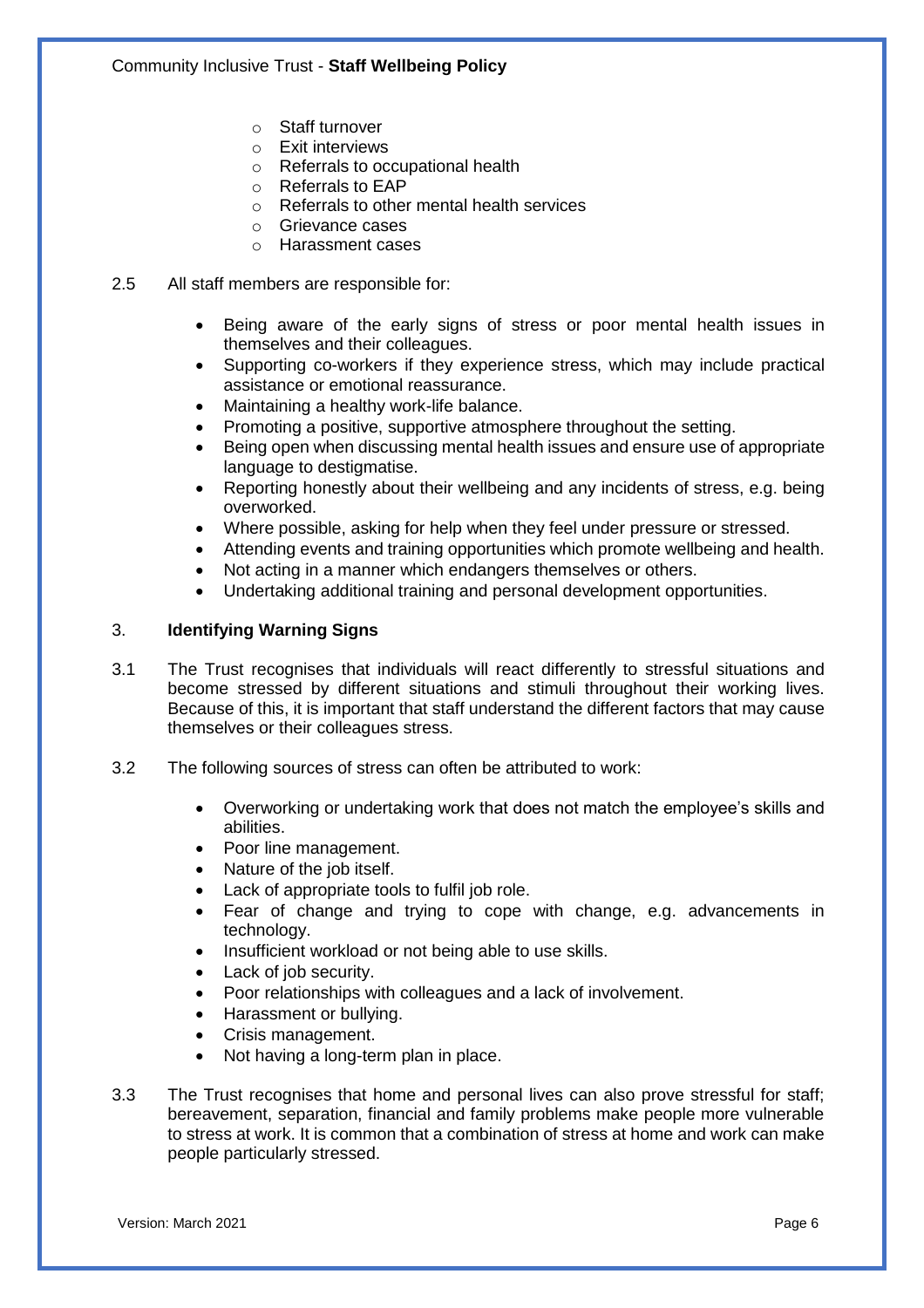- o Staff turnover
- o Exit interviews
- o Referrals to occupational health
- o Referrals to EAP
- o Referrals to other mental health services
- o Grievance cases
- o Harassment cases
- 2.5 All staff members are responsible for:
	- Being aware of the early signs of stress or poor mental health issues in themselves and their colleagues.
	- Supporting co-workers if they experience stress, which may include practical assistance or emotional reassurance.
	- Maintaining a healthy work-life balance.
	- Promoting a positive, supportive atmosphere throughout the setting.
	- Being open when discussing mental health issues and ensure use of appropriate language to destigmatise.
	- Reporting honestly about their wellbeing and any incidents of stress, e.g. being overworked.
	- Where possible, asking for help when they feel under pressure or stressed.
	- Attending events and training opportunities which promote wellbeing and health.
	- Not acting in a manner which endangers themselves or others.
	- Undertaking additional training and personal development opportunities.

#### 3. **Identifying Warning Signs**

- 3.1 The Trust recognises that individuals will react differently to stressful situations and become stressed by different situations and stimuli throughout their working lives. Because of this, it is important that staff understand the different factors that may cause themselves or their colleagues stress.
- 3.2 The following sources of stress can often be attributed to work:
	- Overworking or undertaking work that does not match the employee's skills and abilities.
	- Poor line management.
	- Nature of the job itself.
	- Lack of appropriate tools to fulfil job role.
	- Fear of change and trying to cope with change, e.g. advancements in technology.
	- Insufficient workload or not being able to use skills.
	- Lack of job security.
	- Poor relationships with colleagues and a lack of involvement.
	- Harassment or bullying.
	- Crisis management.
	- Not having a long-term plan in place.
- 3.3 The Trust recognises that home and personal lives can also prove stressful for staff; bereavement, separation, financial and family problems make people more vulnerable to stress at work. It is common that a combination of stress at home and work can make people particularly stressed.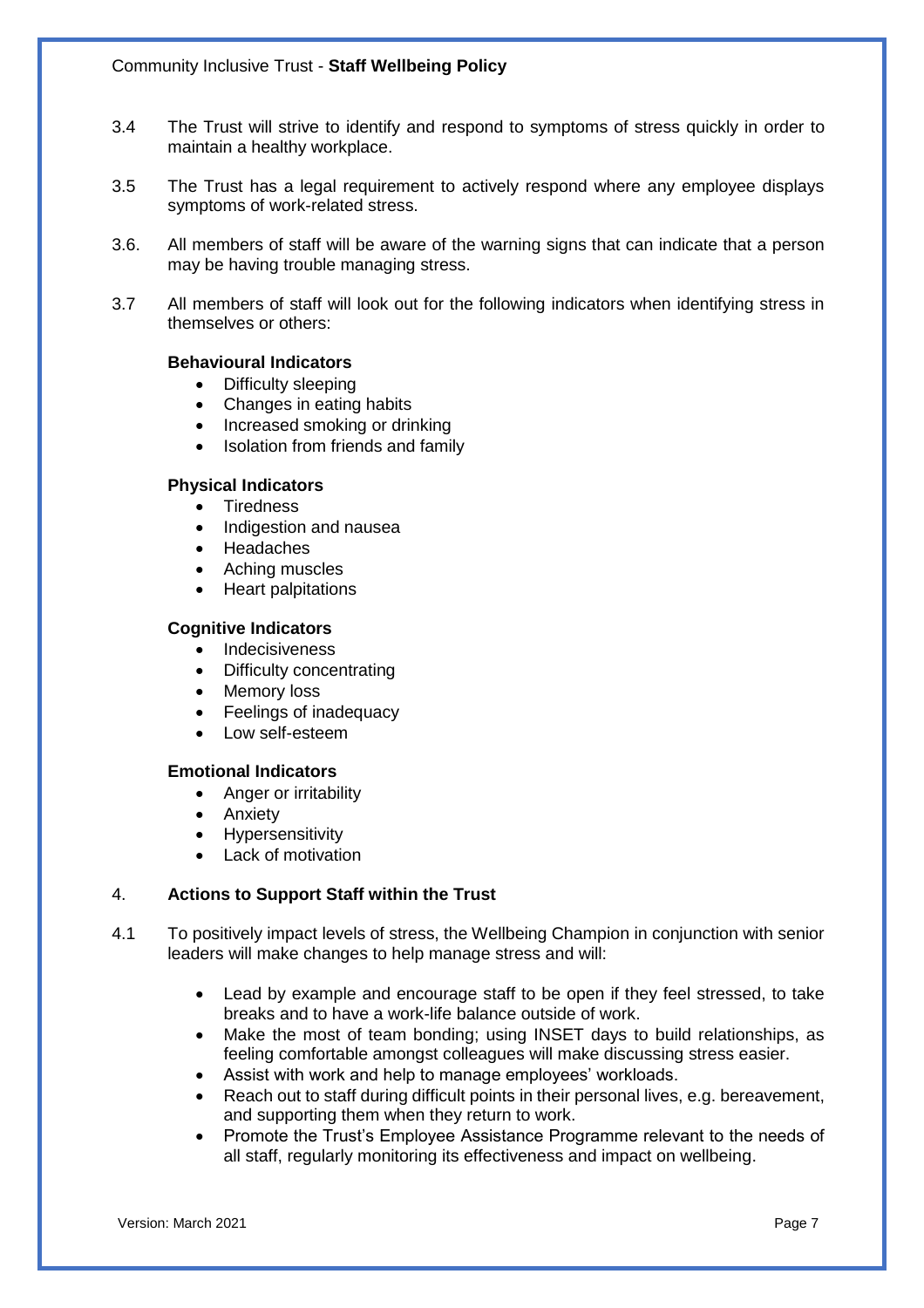- 3.4 The Trust will strive to identify and respond to symptoms of stress quickly in order to maintain a healthy workplace.
- 3.5 The Trust has a legal requirement to actively respond where any employee displays symptoms of work-related stress.
- 3.6. All members of staff will be aware of the warning signs that can indicate that a person may be having trouble managing stress.
- 3.7 All members of staff will look out for the following indicators when identifying stress in themselves or others:

#### **Behavioural Indicators**

- Difficulty sleeping
- Changes in eating habits
- Increased smoking or drinking
- Isolation from friends and family

#### **Physical Indicators**

- Tiredness
- Indigestion and nausea
- Headaches
- Aching muscles
- Heart palpitations

#### **Cognitive Indicators**

- Indecisiveness
- Difficulty concentrating
- Memory loss
- Feelings of inadequacy
- Low self-esteem

#### **Emotional Indicators**

- Anger or irritability
- Anxiety
- Hypersensitivity
- Lack of motivation

#### 4. **Actions to Support Staff within the Trust**

- 4.1 To positively impact levels of stress, the Wellbeing Champion in conjunction with senior leaders will make changes to help manage stress and will:
	- Lead by example and encourage staff to be open if they feel stressed, to take breaks and to have a work-life balance outside of work.
	- Make the most of team bonding; using INSET days to build relationships, as feeling comfortable amongst colleagues will make discussing stress easier.
	- Assist with work and help to manage employees' workloads.
	- Reach out to staff during difficult points in their personal lives, e.g. bereavement, and supporting them when they return to work.
	- Promote the Trust's Employee Assistance Programme relevant to the needs of all staff, regularly monitoring its effectiveness and impact on wellbeing.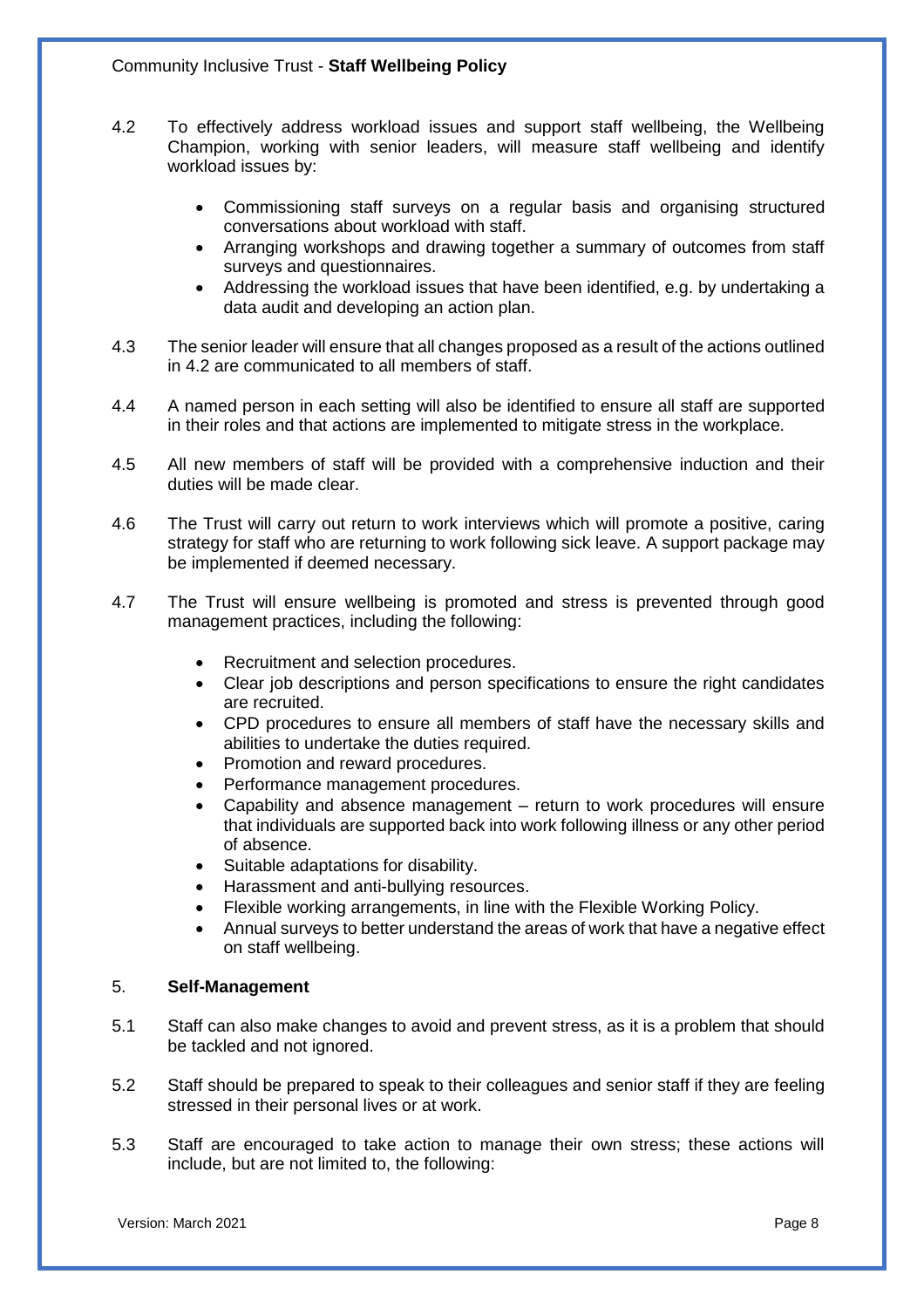- 4.2 To effectively address workload issues and support staff wellbeing, the Wellbeing Champion, working with senior leaders, will measure staff wellbeing and identify workload issues by:
	- Commissioning staff surveys on a regular basis and organising structured conversations about workload with staff.
	- Arranging workshops and drawing together a summary of outcomes from staff surveys and questionnaires.
	- Addressing the workload issues that have been identified, e.g. by undertaking a data audit and developing an action plan.
- 4.3 The senior leader will ensure that all changes proposed as a result of the actions outlined in 4.2 are communicated to all members of staff.
- 4.4 A named person in each setting will also be identified to ensure all staff are supported in their roles and that actions are implemented to mitigate stress in the workplace.
- 4.5 All new members of staff will be provided with a comprehensive induction and their duties will be made clear.
- 4.6 The Trust will carry out return to work interviews which will promote a positive, caring strategy for staff who are returning to work following sick leave. A support package may be implemented if deemed necessary.
- 4.7 The Trust will ensure wellbeing is promoted and stress is prevented through good management practices, including the following:
	- Recruitment and selection procedures.
	- Clear job descriptions and person specifications to ensure the right candidates are recruited.
	- CPD procedures to ensure all members of staff have the necessary skills and abilities to undertake the duties required.
	- Promotion and reward procedures.
	- Performance management procedures.
	- Capability and absence management return to work procedures will ensure that individuals are supported back into work following illness or any other period of absence.
	- Suitable adaptations for disability.
	- Harassment and anti-bullying resources.
	- Flexible working arrangements, in line with the Flexible Working Policy.
	- Annual surveys to better understand the areas of work that have a negative effect on staff wellbeing.

#### 5. **Self-Management**

- 5.1 Staff can also make changes to avoid and prevent stress, as it is a problem that should be tackled and not ignored.
- 5.2 Staff should be prepared to speak to their colleagues and senior staff if they are feeling stressed in their personal lives or at work.
- 5.3 Staff are encouraged to take action to manage their own stress; these actions will include, but are not limited to, the following: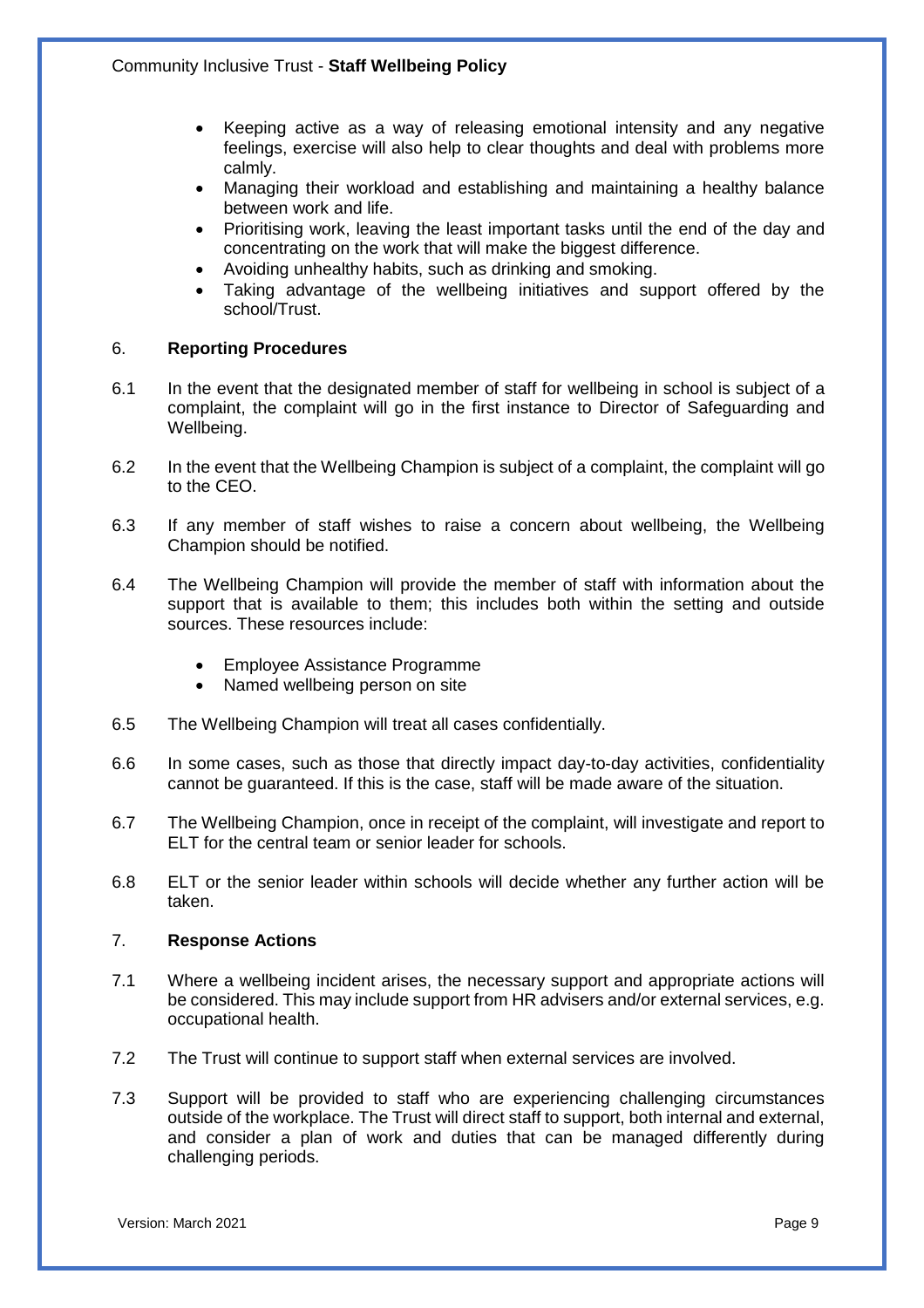- Keeping active as a way of releasing emotional intensity and any negative feelings, exercise will also help to clear thoughts and deal with problems more calmly.
- Managing their workload and establishing and maintaining a healthy balance between work and life.
- Prioritising work, leaving the least important tasks until the end of the day and concentrating on the work that will make the biggest difference.
- Avoiding unhealthy habits, such as drinking and smoking.
- Taking advantage of the wellbeing initiatives and support offered by the school/Trust.

#### 6. **Reporting Procedures**

- 6.1 In the event that the designated member of staff for wellbeing in school is subject of a complaint, the complaint will go in the first instance to Director of Safeguarding and Wellbeing.
- 6.2 In the event that the Wellbeing Champion is subject of a complaint, the complaint will go to the CEO.
- 6.3 If any member of staff wishes to raise a concern about wellbeing, the Wellbeing Champion should be notified.
- 6.4 The Wellbeing Champion will provide the member of staff with information about the support that is available to them; this includes both within the setting and outside sources. These resources include:
	- Employee Assistance Programme
	- Named wellbeing person on site
- 6.5 The Wellbeing Champion will treat all cases confidentially.
- 6.6 In some cases, such as those that directly impact day-to-day activities, confidentiality cannot be guaranteed. If this is the case, staff will be made aware of the situation.
- 6.7 The Wellbeing Champion, once in receipt of the complaint, will investigate and report to ELT for the central team or senior leader for schools.
- 6.8 ELT or the senior leader within schools will decide whether any further action will be taken.

#### 7. **Response Actions**

- 7.1 Where a wellbeing incident arises, the necessary support and appropriate actions will be considered. This may include support from HR advisers and/or external services, e.g. occupational health.
- 7.2 The Trust will continue to support staff when external services are involved.
- 7.3 Support will be provided to staff who are experiencing challenging circumstances outside of the workplace. The Trust will direct staff to support, both internal and external, and consider a plan of work and duties that can be managed differently during challenging periods.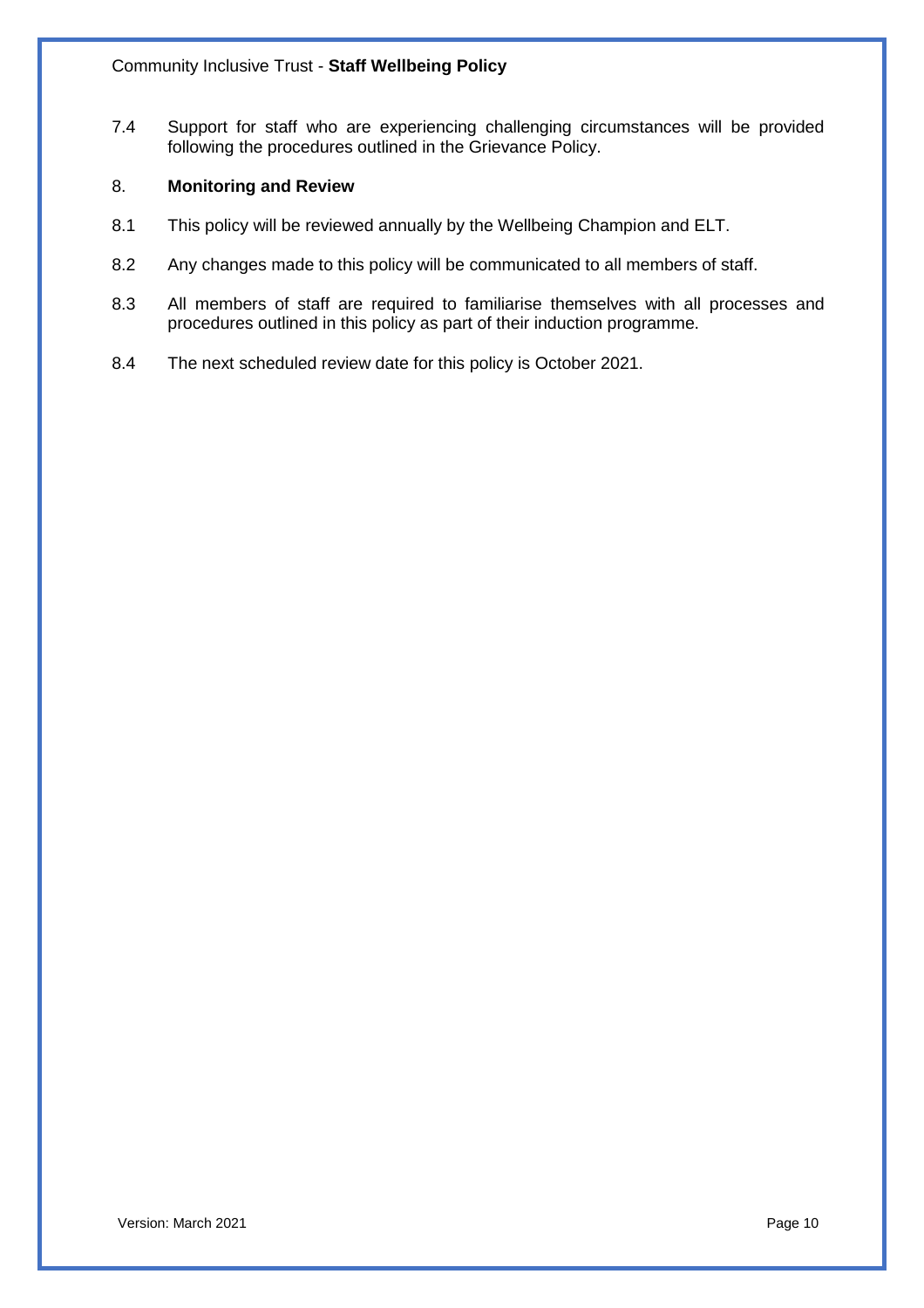7.4 Support for staff who are experiencing challenging circumstances will be provided following the procedures outlined in the Grievance Policy.

#### 8. **Monitoring and Review**

- 8.1 This policy will be reviewed annually by the Wellbeing Champion and ELT.
- 8.2 Any changes made to this policy will be communicated to all members of staff.
- 8.3 All members of staff are required to familiarise themselves with all processes and procedures outlined in this policy as part of their induction programme.
- 8.4 The next scheduled review date for this policy is October 2021.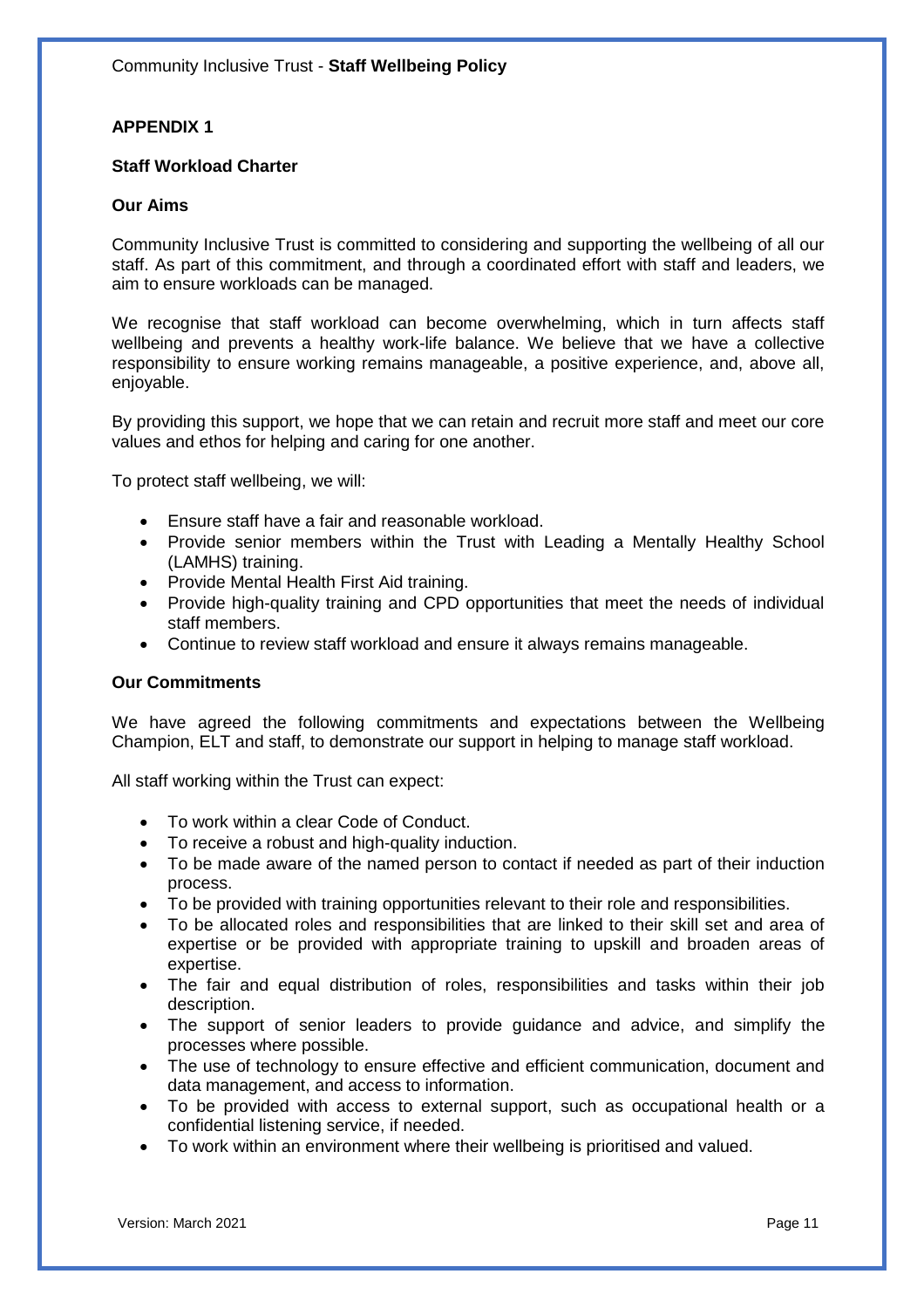#### **APPENDIX 1**

#### **Staff Workload Charter**

#### **Our Aims**

Community Inclusive Trust is committed to considering and supporting the wellbeing of all our staff. As part of this commitment, and through a coordinated effort with staff and leaders, we aim to ensure workloads can be managed.

We recognise that staff workload can become overwhelming, which in turn affects staff wellbeing and prevents a healthy work-life balance. We believe that we have a collective responsibility to ensure working remains manageable, a positive experience, and, above all, enjoyable.

By providing this support, we hope that we can retain and recruit more staff and meet our core values and ethos for helping and caring for one another.

To protect staff wellbeing, we will:

- Ensure staff have a fair and reasonable workload.
- Provide senior members within the Trust with Leading a Mentally Healthy School (LAMHS) training.
- Provide Mental Health First Aid training.
- Provide high-quality training and CPD opportunities that meet the needs of individual staff members.
- Continue to review staff workload and ensure it always remains manageable.

#### **Our Commitments**

We have agreed the following commitments and expectations between the Wellbeing Champion, ELT and staff, to demonstrate our support in helping to manage staff workload.

All staff working within the Trust can expect:

- To work within a clear Code of Conduct.
- To receive a robust and high-quality induction.
- To be made aware of the named person to contact if needed as part of their induction process.
- To be provided with training opportunities relevant to their role and responsibilities.
- To be allocated roles and responsibilities that are linked to their skill set and area of expertise or be provided with appropriate training to upskill and broaden areas of expertise.
- The fair and equal distribution of roles, responsibilities and tasks within their job description.
- The support of senior leaders to provide guidance and advice, and simplify the processes where possible.
- The use of technology to ensure effective and efficient communication, document and data management, and access to information.
- To be provided with access to external support, such as occupational health or a confidential listening service, if needed.
- To work within an environment where their wellbeing is prioritised and valued.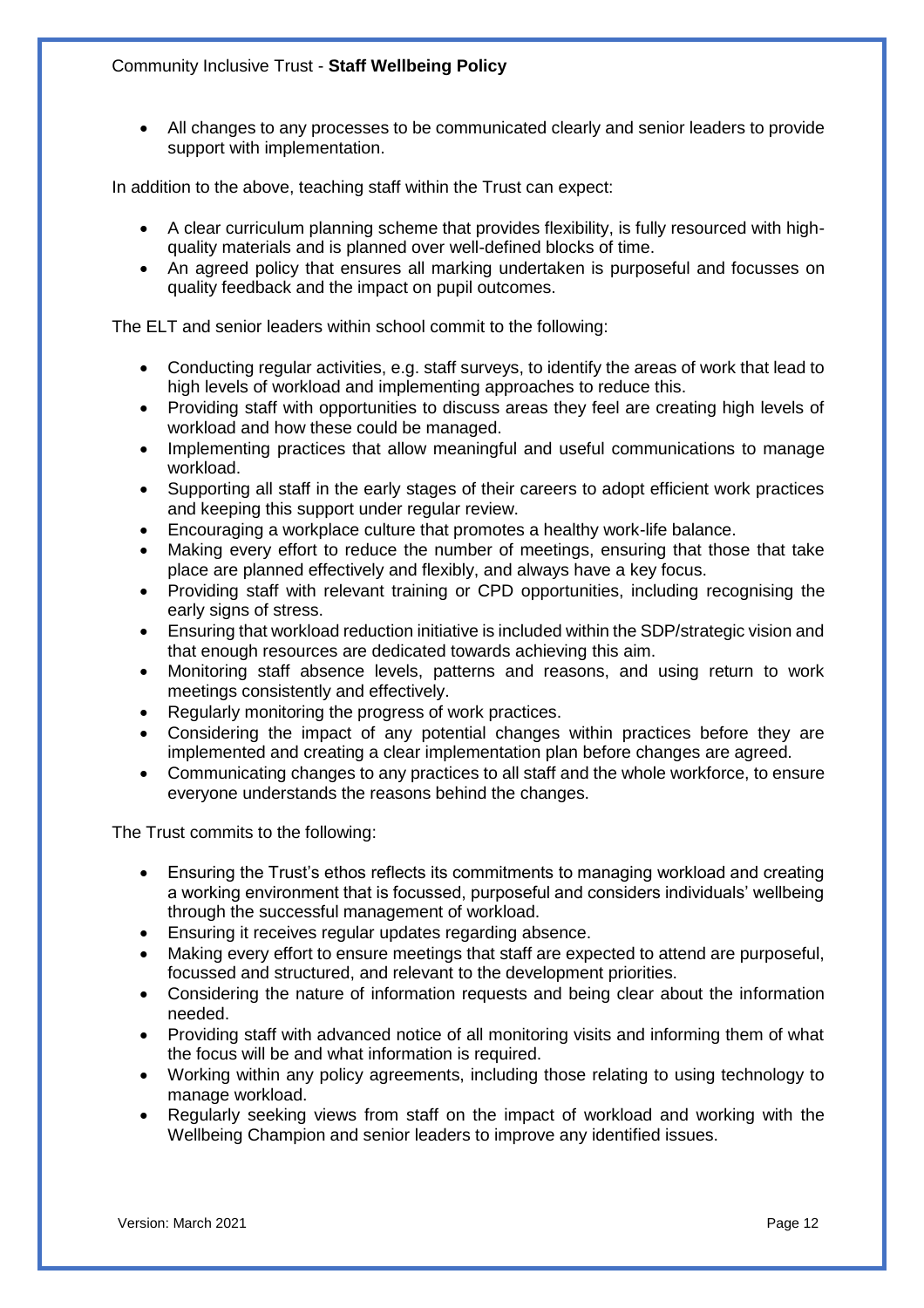#### Community Inclusive Trust - **Staff Wellbeing Policy**

 All changes to any processes to be communicated clearly and senior leaders to provide support with implementation.

In addition to the above, teaching staff within the Trust can expect:

- A clear curriculum planning scheme that provides flexibility, is fully resourced with highquality materials and is planned over well-defined blocks of time.
- An agreed policy that ensures all marking undertaken is purposeful and focusses on quality feedback and the impact on pupil outcomes.

The ELT and senior leaders within school commit to the following:

- Conducting regular activities, e.g. staff surveys, to identify the areas of work that lead to high levels of workload and implementing approaches to reduce this.
- Providing staff with opportunities to discuss areas they feel are creating high levels of workload and how these could be managed.
- Implementing practices that allow meaningful and useful communications to manage workload.
- Supporting all staff in the early stages of their careers to adopt efficient work practices and keeping this support under regular review.
- Encouraging a workplace culture that promotes a healthy work-life balance.
- Making every effort to reduce the number of meetings, ensuring that those that take place are planned effectively and flexibly, and always have a key focus.
- Providing staff with relevant training or CPD opportunities, including recognising the early signs of stress.
- Ensuring that workload reduction initiative is included within the SDP/strategic vision and that enough resources are dedicated towards achieving this aim.
- Monitoring staff absence levels, patterns and reasons, and using return to work meetings consistently and effectively.
- Regularly monitoring the progress of work practices.
- Considering the impact of any potential changes within practices before they are implemented and creating a clear implementation plan before changes are agreed.
- Communicating changes to any practices to all staff and the whole workforce, to ensure everyone understands the reasons behind the changes.

The Trust commits to the following:

- Ensuring the Trust's ethos reflects its commitments to managing workload and creating a working environment that is focussed, purposeful and considers individuals' wellbeing through the successful management of workload.
- Ensuring it receives regular updates regarding absence.
- Making every effort to ensure meetings that staff are expected to attend are purposeful, focussed and structured, and relevant to the development priorities.
- Considering the nature of information requests and being clear about the information needed.
- Providing staff with advanced notice of all monitoring visits and informing them of what the focus will be and what information is required.
- Working within any policy agreements, including those relating to using technology to manage workload.
- Regularly seeking views from staff on the impact of workload and working with the Wellbeing Champion and senior leaders to improve any identified issues.